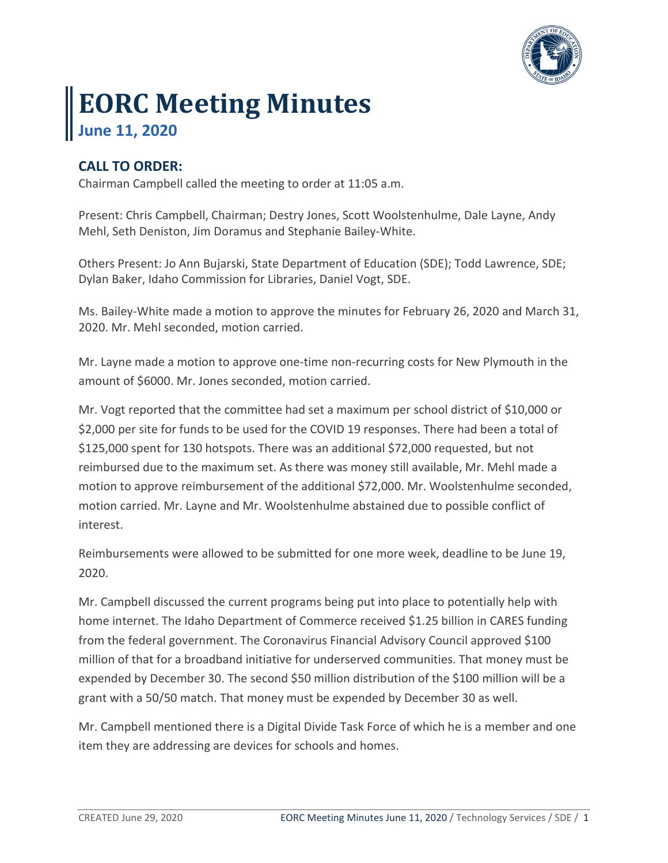

## **EORC Meeting Minutes June 11, 2020**

## **CALL TO ORDER:**

Chairman Campbell called the meeting to order at 11:05 a.m.

Present: Chris Campbell, Chairman; Destry Jones, Scott Woolstenhulme, Dale Layne, Andy Mehl, Seth Deniston, Jim Doramus and Stephanie Bailey-White.

Others Present: Jo Ann Bujarski, State Department of Education (SDE); Todd Lawrence, SDE; Dylan Baker, Idaho Commission for Libraries, Daniel Vogt, SDE.

Ms. Bailey-White made a motion to approve the minutes for February 26, 2020 and March 31, 2020. Mr. Mehl seconded, motion carried.

Mr. Layne made a motion to approve one-time non-recurring costs for New Plymouth in the amount of \$6000. Mr. Jones seconded, motion carried.

Mr. Vogt reported that the committee had set a maximum per school district of \$10,000 or \$2,000 per site for funds to be used for the COVID 19 responses. There had been a total of \$125,000 spent for 130 hotspots. There was an additional \$72,000 requested, but not reimbursed due to the maximum set. As there was money still available, Mr. Mehl made a motion to approve reimbursement of the additional \$72,000. Mr. Woolstenhulme seconded, motion carried. Mr. Layne and Mr. Woolstenhulme abstained due to possible conflict of interest.

Reimbursements were allowed to be submitted for one more week, deadline to be June 19, 2020.

Mr. Campbell discussed the current programs being put into place to potentially help with home internet. The Idaho Department of Commerce received \$1.25 billion in CARES funding from the federal government. The Coronavirus Financial Advisory Council approved \$100 million of that for a broadband initiative for underserved communities. That money must be expended by December 30. The second \$50 million distribution of the \$100 million will be a grant with a 50/50 match. That money must be expended by December 30 as well.

Mr. Campbell mentioned there is a Digital Divide Task Force of which he is a member and one item they are addressing are devices for schools and homes.